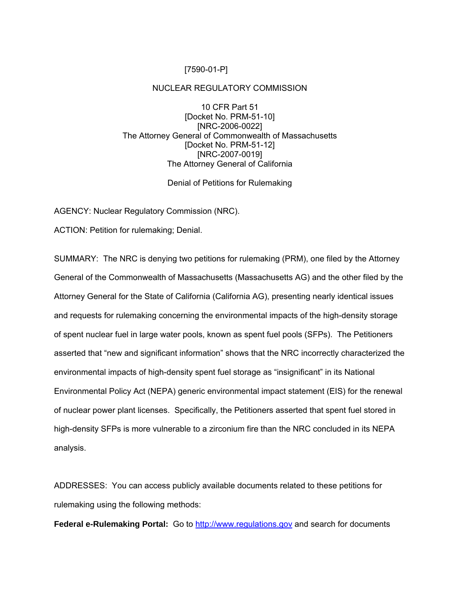## [7590-01-P]

## NUCLEAR REGULATORY COMMISSION

10 CFR Part 51 [Docket No. PRM-51-10] [NRC-2006-0022] The Attorney General of Commonwealth of Massachusetts [Docket No. PRM-51-12] [NRC-2007-0019] The Attorney General of California

## Denial of Petitions for Rulemaking

AGENCY: Nuclear Regulatory Commission (NRC).

ACTION: Petition for rulemaking; Denial.

SUMMARY: The NRC is denying two petitions for rulemaking (PRM), one filed by the Attorney General of the Commonwealth of Massachusetts (Massachusetts AG) and the other filed by the Attorney General for the State of California (California AG), presenting nearly identical issues and requests for rulemaking concerning the environmental impacts of the high-density storage of spent nuclear fuel in large water pools, known as spent fuel pools (SFPs). The Petitioners asserted that "new and significant information" shows that the NRC incorrectly characterized the environmental impacts of high-density spent fuel storage as "insignificant" in its National Environmental Policy Act (NEPA) generic environmental impact statement (EIS) for the renewal of nuclear power plant licenses. Specifically, the Petitioners asserted that spent fuel stored in high-density SFPs is more vulnerable to a zirconium fire than the NRC concluded in its NEPA analysis.

ADDRESSES: You can access publicly available documents related to these petitions for rulemaking using the following methods:

**Federal e-Rulemaking Portal:** Go to [http://www.regulations.gov](http://www.regulations.gov/) and search for documents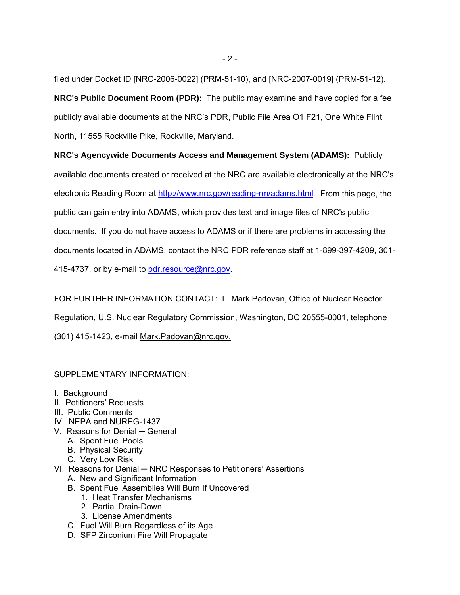filed under Docket ID [NRC-2006-0022] (PRM-51-10), and [NRC-2007-0019] (PRM-51-12). **NRC's Public Document Room (PDR):** The public may examine and have copied for a fee publicly available documents at the NRC's PDR, Public File Area O1 F21, One White Flint North, 11555 Rockville Pike, Rockville, Maryland.

**NRC's Agencywide Documents Access and Management System (ADAMS):** Publicly available documents created or received at the NRC are available electronically at the NRC's electronic Reading Room at <http://www.nrc.gov/reading-rm/adams.html>. From this page, the public can gain entry into ADAMS, which provides text and image files of NRC's public documents. If you do not have access to ADAMS or if there are problems in accessing the documents located in ADAMS, contact the NRC PDR reference staff at 1-899-397-4209, 301 415-4737, or by e-mail to [pdr.resource@nrc.gov](mailto:pdr.resource@nrc.gov).

FOR FURTHER INFORMATION CONTACT: L. Mark Padovan, Office of Nuclear Reactor Regulation, U.S. Nuclear Regulatory Commission, Washington, DC 20555-0001, telephone (301) 415-1423, e-mail Mark.Padovan@nrc.gov.

## SUPPLEMENTARY INFORMATION:

- I. Background
- II. Petitioners' Requests
- III. Public Comments
- IV. NEPA and NUREG-1437
- V. Reasons for Denial ─ General
	- A. Spent Fuel Pools
	- B. Physical Security
	- C. Very Low Risk
- VI. Reasons for Denial NRC Responses to Petitioners' Assertions
	- A. New and Significant Information
	- B. Spent Fuel Assemblies Will Burn If Uncovered
		- 1. Heat Transfer Mechanisms
		- 2. Partial Drain-Down
		- 3. License Amendments
	- C. Fuel Will Burn Regardless of its Age
	- D. SFP Zirconium Fire Will Propagate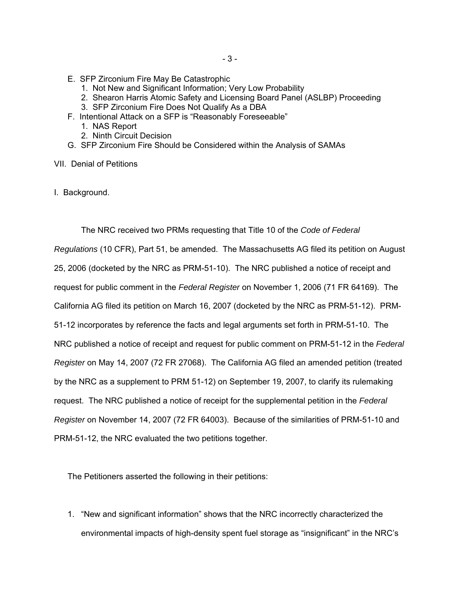- E. SFP Zirconium Fire May Be Catastrophic
	- 1. Not New and Significant Information; Very Low Probability
	- 2. Shearon Harris Atomic Safety and Licensing Board Panel (ASLBP) Proceeding
	- 3. SFP Zirconium Fire Does Not Qualify As a DBA
- F. Intentional Attack on a SFP is "Reasonably Foreseeable"
	- 1. NAS Report
	- 2. Ninth Circuit Decision
- G. SFP Zirconium Fire Should be Considered within the Analysis of SAMAs

VII. Denial of Petitions

I. Background.

The NRC received two PRMs requesting that Title 10 of the *Code of Federal Regulations* (10 CFR), Part 51, be amended. The Massachusetts AG filed its petition on August 25, 2006 (docketed by the NRC as PRM-51-10). The NRC published a notice of receipt and request for public comment in the *Federal Register* on November 1, 2006 (71 FR 64169). The California AG filed its petition on March 16, 2007 (docketed by the NRC as PRM-51-12). PRM-51-12 incorporates by reference the facts and legal arguments set forth in PRM-51-10. The NRC published a notice of receipt and request for public comment on PRM-51-12 in the *Federal Register* on May 14, 2007 (72 FR 27068). The California AG filed an amended petition (treated by the NRC as a supplement to PRM 51-12) on September 19, 2007, to clarify its rulemaking request. The NRC published a notice of receipt for the supplemental petition in the *Federal Register* on November 14, 2007 (72 FR 64003). Because of the similarities of PRM-51-10 and PRM-51-12, the NRC evaluated the two petitions together.

The Petitioners asserted the following in their petitions:

1. "New and significant information" shows that the NRC incorrectly characterized the environmental impacts of high-density spent fuel storage as "insignificant" in the NRC's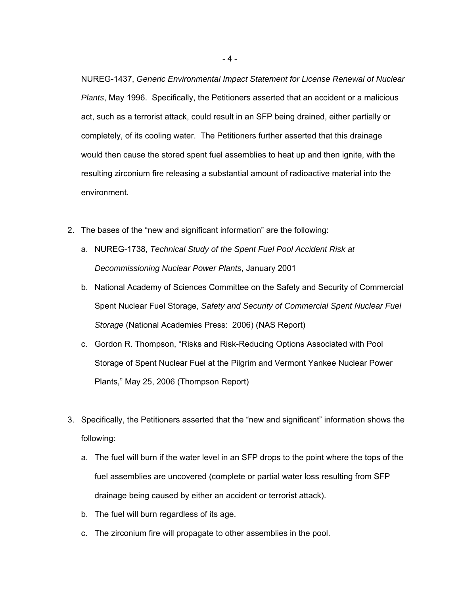NUREG-1437, *Generic Environmental Impact Statement for License Renewal of Nuclear Plants*, May 1996. Specifically, the Petitioners asserted that an accident or a malicious act, such as a terrorist attack, could result in an SFP being drained, either partially or completely, of its cooling water. The Petitioners further asserted that this drainage would then cause the stored spent fuel assemblies to heat up and then ignite, with the resulting zirconium fire releasing a substantial amount of radioactive material into the environment.

- 2. The bases of the "new and significant information" are the following:
	- a. NUREG-1738, *Technical Study of the Spent Fuel Pool Accident Risk at Decommissioning Nuclear Power Plants*, January 2001
	- b. National Academy of Sciences Committee on the Safety and Security of Commercial Spent Nuclear Fuel Storage, *Safety and Security of Commercial Spent Nuclear Fuel Storage* (National Academies Press: 2006) (NAS Report)
	- c. Gordon R. Thompson, "Risks and Risk-Reducing Options Associated with Pool Storage of Spent Nuclear Fuel at the Pilgrim and Vermont Yankee Nuclear Power Plants," May 25, 2006 (Thompson Report)
- 3. Specifically, the Petitioners asserted that the "new and significant" information shows the following:
	- a. The fuel will burn if the water level in an SFP drops to the point where the tops of the fuel assemblies are uncovered (complete or partial water loss resulting from SFP drainage being caused by either an accident or terrorist attack).
	- b. The fuel will burn regardless of its age.
	- c. The zirconium fire will propagate to other assemblies in the pool.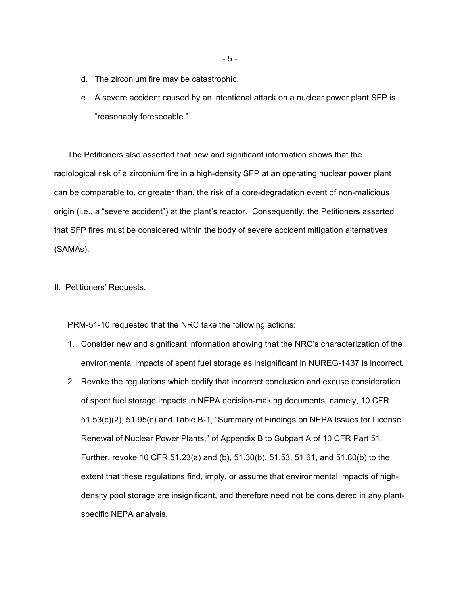- d. The zirconium fire may be catastrophic.
- e. A severe accident caused by an intentional attack on a nuclear power plant SFP is "reasonably foreseeable."

The Petitioners also asserted that new and significant information shows that the radiological risk of a zirconium fire in a high-density SFP at an operating nuclear power plant can be comparable to, or greater than, the risk of a core-degradation event of non-malicious origin (i.e., a "severe accident") at the plant's reactor. Consequently, the Petitioners asserted that SFP fires must be considered within the body of severe accident mitigation alternatives (SAMAs).

II. Petitioners' Requests.

PRM-51-10 requested that the NRC take the following actions:

- 1. Consider new and significant information showing that the NRC's characterization of the environmental impacts of spent fuel storage as insignificant in NUREG-1437 is incorrect.
- 2. Revoke the regulations which codify that incorrect conclusion and excuse consideration of spent fuel storage impacts in NEPA decision-making documents, namely, 10 CFR 51.53(c)(2), 51.95(c) and Table B-1, "Summary of Findings on NEPA Issues for License Renewal of Nuclear Power Plants," of Appendix B to Subpart A of 10 CFR Part 51. Further, revoke 10 CFR 51.23(a) and (b), 51.30(b), 51.53, 51.61, and 51.80(b) to the extent that these regulations find, imply, or assume that environmental impacts of highdensity pool storage are insignificant, and therefore need not be considered in any plantspecific NEPA analysis.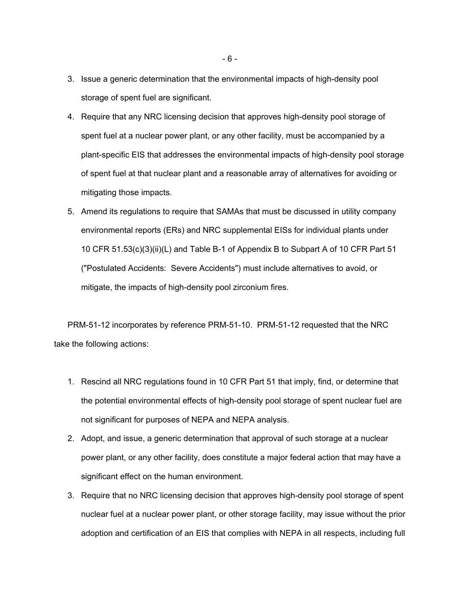- 3. Issue a generic determination that the environmental impacts of high-density pool storage of spent fuel are significant.
- 4. Require that any NRC licensing decision that approves high-density pool storage of spent fuel at a nuclear power plant, or any other facility, must be accompanied by a plant-specific EIS that addresses the environmental impacts of high-density pool storage of spent fuel at that nuclear plant and a reasonable array of alternatives for avoiding or mitigating those impacts.
- 5. Amend its regulations to require that SAMAs that must be discussed in utility company environmental reports (ERs) and NRC supplemental EISs for individual plants under 10 CFR 51.53(c)(3)(ii)(L) and Table B-1 of Appendix B to Subpart A of 10 CFR Part 51 ("Postulated Accidents: Severe Accidents") must include alternatives to avoid, or mitigate, the impacts of high-density pool zirconium fires.

PRM-51-12 incorporates by reference PRM-51-10. PRM-51-12 requested that the NRC take the following actions:

- 1. Rescind all NRC regulations found in 10 CFR Part 51 that imply, find, or determine that the potential environmental effects of high-density pool storage of spent nuclear fuel are not significant for purposes of NEPA and NEPA analysis.
- 2. Adopt, and issue, a generic determination that approval of such storage at a nuclear power plant, or any other facility, does constitute a major federal action that may have a significant effect on the human environment.
- 3. Require that no NRC licensing decision that approves high-density pool storage of spent nuclear fuel at a nuclear power plant, or other storage facility, may issue without the prior adoption and certification of an EIS that complies with NEPA in all respects, including full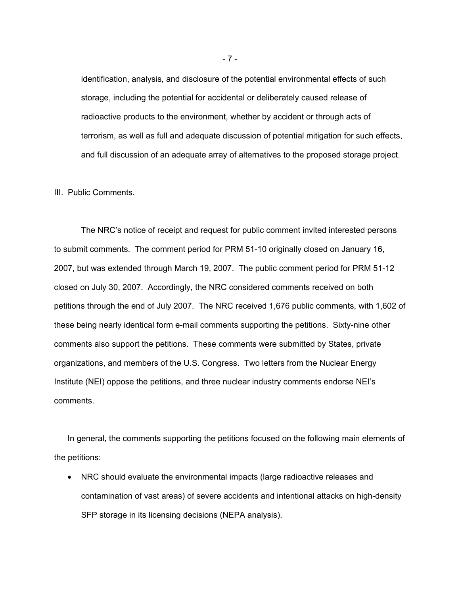identification, analysis, and disclosure of the potential environmental effects of such storage, including the potential for accidental or deliberately caused release of radioactive products to the environment, whether by accident or through acts of terrorism, as well as full and adequate discussion of potential mitigation for such effects, and full discussion of an adequate array of alternatives to the proposed storage project.

#### III. Public Comments.

The NRC's notice of receipt and request for public comment invited interested persons to submit comments. The comment period for PRM 51-10 originally closed on January 16, 2007, but was extended through March 19, 2007. The public comment period for PRM 51-12 closed on July 30, 2007. Accordingly, the NRC considered comments received on both petitions through the end of July 2007. The NRC received 1,676 public comments, with 1,602 of these being nearly identical form e-mail comments supporting the petitions. Sixty-nine other comments also support the petitions. These comments were submitted by States, private organizations, and members of the U.S. Congress. Two letters from the Nuclear Energy Institute (NEI) oppose the petitions, and three nuclear industry comments endorse NEI's comments.

In general, the comments supporting the petitions focused on the following main elements of the petitions:

• NRC should evaluate the environmental impacts (large radioactive releases and contamination of vast areas) of severe accidents and intentional attacks on high-density SFP storage in its licensing decisions (NEPA analysis).

- 7 -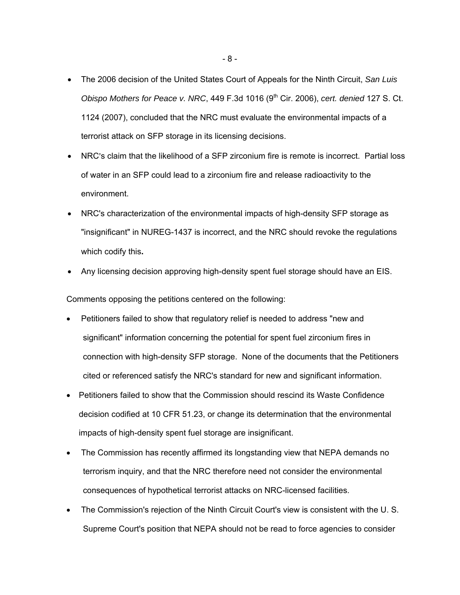- The 2006 decision of the United States Court of Appeals for the Ninth Circuit, *San Luis Obispo Mothers for Peace v. NRC*, 449 F.3d 1016 (9<sup>th</sup> Cir. 2006), *cert. denied* 127 S. Ct. 1124 (2007), concluded that the NRC must evaluate the environmental impacts of a terrorist attack on SFP storage in its licensing decisions.
- NRC's claim that the likelihood of a SFP zirconium fire is remote is incorrect. Partial loss of water in an SFP could lead to a zirconium fire and release radioactivity to the environment.
- NRC's characterization of the environmental impacts of high-density SFP storage as "insignificant" in NUREG-1437 is incorrect, and the NRC should revoke the regulations which codify this**.**
- Any licensing decision approving high-density spent fuel storage should have an EIS.

Comments opposing the petitions centered on the following:

- Petitioners failed to show that regulatory relief is needed to address "new and significant" information concerning the potential for spent fuel zirconium fires in connection with high-density SFP storage. None of the documents that the Petitioners cited or referenced satisfy the NRC's standard for new and significant information.
- Petitioners failed to show that the Commission should rescind its Waste Confidence decision codified at 10 CFR 51.23, or change its determination that the environmental impacts of high-density spent fuel storage are insignificant.
- The Commission has recently affirmed its longstanding view that NEPA demands no terrorism inquiry, and that the NRC therefore need not consider the environmental consequences of hypothetical terrorist attacks on NRC-licensed facilities.
- The Commission's rejection of the Ninth Circuit Court's view is consistent with the U. S. Supreme Court's position that NEPA should not be read to force agencies to consider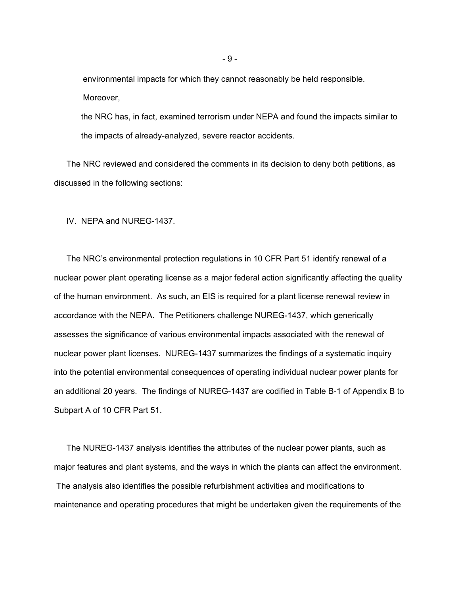environmental impacts for which they cannot reasonably be held responsible. Moreover,

the NRC has, in fact, examined terrorism under NEPA and found the impacts similar to the impacts of already-analyzed, severe reactor accidents.

The NRC reviewed and considered the comments in its decision to deny both petitions, as discussed in the following sections:

IV. NEPA and NUREG-1437.

The NRC's environmental protection regulations in 10 CFR Part 51 identify renewal of a nuclear power plant operating license as a major federal action significantly affecting the quality of the human environment. As such, an EIS is required for a plant license renewal review in accordance with the NEPA. The Petitioners challenge NUREG-1437, which generically assesses the significance of various environmental impacts associated with the renewal of nuclear power plant licenses. NUREG-1437 summarizes the findings of a systematic inquiry into the potential environmental consequences of operating individual nuclear power plants for an additional 20 years. The findings of NUREG-1437 are codified in Table B-1 of Appendix B to Subpart A of 10 CFR Part 51.

The NUREG-1437 analysis identifies the attributes of the nuclear power plants, such as major features and plant systems, and the ways in which the plants can affect the environment. The analysis also identifies the possible refurbishment activities and modifications to maintenance and operating procedures that might be undertaken given the requirements of the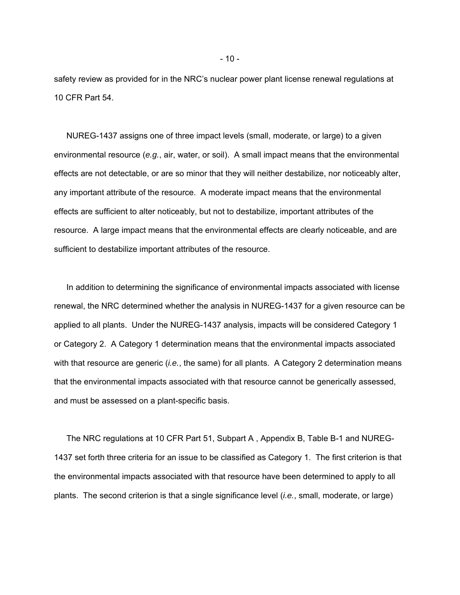safety review as provided for in the NRC's nuclear power plant license renewal regulations at 10 CFR Part 54.

NUREG-1437 assigns one of three impact levels (small, moderate, or large) to a given environmental resource (*e.g.*, air, water, or soil). A small impact means that the environmental effects are not detectable, or are so minor that they will neither destabilize, nor noticeably alter, any important attribute of the resource. A moderate impact means that the environmental effects are sufficient to alter noticeably, but not to destabilize, important attributes of the resource. A large impact means that the environmental effects are clearly noticeable, and are sufficient to destabilize important attributes of the resource.

In addition to determining the significance of environmental impacts associated with license renewal, the NRC determined whether the analysis in NUREG-1437 for a given resource can be applied to all plants. Under the NUREG-1437 analysis, impacts will be considered Category 1 or Category 2. A Category 1 determination means that the environmental impacts associated with that resource are generic (*i.e.*, the same) for all plants. A Category 2 determination means that the environmental impacts associated with that resource cannot be generically assessed, and must be assessed on a plant-specific basis.

The NRC regulations at 10 CFR Part 51, Subpart A , Appendix B, Table B-1 and NUREG-1437 set forth three criteria for an issue to be classified as Category 1. The first criterion is that the environmental impacts associated with that resource have been determined to apply to all plants. The second criterion is that a single significance level (*i.e.*, small, moderate, or large)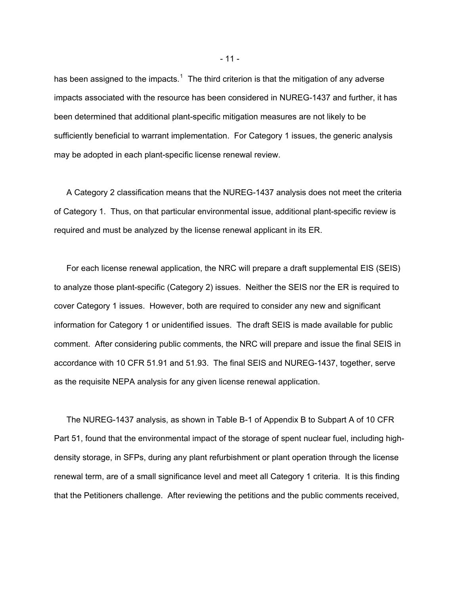has been assigned to the impacts.<sup>[1](#page-10-0)</sup> The third criterion is that the mitigation of any adverse impacts associated with the resource has been considered in NUREG-1437 and further, it has been determined that additional plant-specific mitigation measures are not likely to be sufficiently beneficial to warrant implementation. For Category 1 issues, the generic analysis may be adopted in each plant-specific license renewal review.

A Category 2 classification means that the NUREG-1437 analysis does not meet the criteria of Category 1. Thus, on that particular environmental issue, additional plant-specific review is required and must be analyzed by the license renewal applicant in its ER.

For each license renewal application, the NRC will prepare a draft supplemental EIS (SEIS) to analyze those plant-specific (Category 2) issues. Neither the SEIS nor the ER is required to cover Category 1 issues. However, both are required to consider any new and significant information for Category 1 or unidentified issues. The draft SEIS is made available for public comment. After considering public comments, the NRC will prepare and issue the final SEIS in accordance with 10 CFR 51.91 and 51.93. The final SEIS and NUREG-1437, together, serve as the requisite NEPA analysis for any given license renewal application.

<span id="page-10-0"></span>The NUREG-1437 analysis, as shown in Table B-1 of Appendix B to Subpart A of 10 CFR Part 51, found that the environmental impact of the storage of spent nuclear fuel, including highdensity storage, in SFPs, during any plant refurbishment or plant operation through the license renewal term, are of a small significance level and meet all Category 1 criteria. It is this finding that the Petitioners challenge. After reviewing the petitions and the public comments received,

- 11 -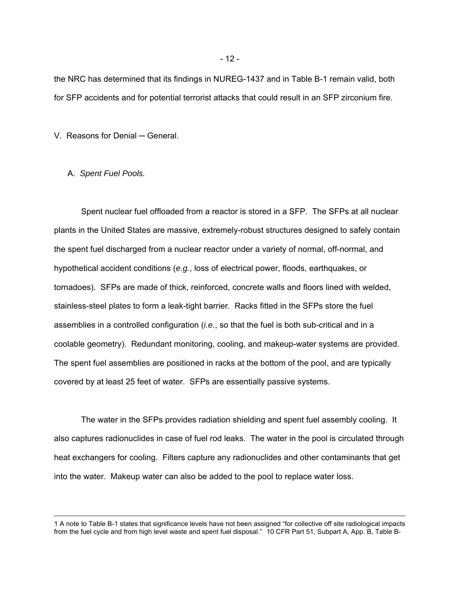the NRC has determined that its findings in NUREG-1437 and in Table B-1 remain valid, both for SFP accidents and for potential terrorist attacks that could result in an SFP zirconium fire.

V. Reasons for Denial ─ General.

## A. *Spent Fuel Pools.*

 $\overline{a}$ 

Spent nuclear fuel offloaded from a reactor is stored in a SFP. The SFPs at all nuclear plants in the United States are massive, extremely-robust structures designed to safely contain the spent fuel discharged from a nuclear reactor under a variety of normal, off-normal, and hypothetical accident conditions (*e.g.*, loss of electrical power, floods, earthquakes, or tornadoes). SFPs are made of thick, reinforced, concrete walls and floors lined with welded, stainless-steel plates to form a leak-tight barrier. Racks fitted in the SFPs store the fuel assemblies in a controlled configuration (*i.e.*, so that the fuel is both sub-critical and in a coolable geometry). Redundant monitoring, cooling, and makeup-water systems are provided. The spent fuel assemblies are positioned in racks at the bottom of the pool, and are typically covered by at least 25 feet of water. SFPs are essentially passive systems.

The water in the SFPs provides radiation shielding and spent fuel assembly cooling. It also captures radionuclides in case of fuel rod leaks. The water in the pool is circulated through heat exchangers for cooling. Filters capture any radionuclides and other contaminants that get into the water. Makeup water can also be added to the pool to replace water loss.

- 12 -

<sup>1</sup> A note to Table B-1 states that significance levels have not been assigned "for collective off site radiological impacts from the fuel cycle and from high level waste and spent fuel disposal." 10 CFR Part 51, Subpart A, App. B, Table B-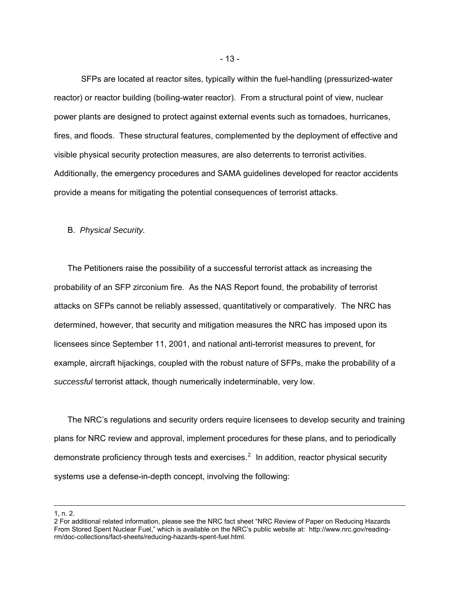<span id="page-12-0"></span> SFPs are located at reactor sites, typically within the fuel-handling (pressurized-water reactor) or reactor building (boiling-water reactor). From a structural point of view, nuclear power plants are designed to protect against external events such as tornadoes, hurricanes, fires, and floods. These structural features, complemented by the deployment of effective and visible physical security protection measures, are also deterrents to terrorist activities. Additionally, the emergency procedures and SAMA guidelines developed for reactor accidents provide a means for mitigating the potential consequences of terrorist attacks.

#### B. *Physical Security.*

The Petitioners raise the possibility of a successful terrorist attack as increasing the probability of an SFP zirconium fire. As the NAS Report found, the probability of terrorist attacks on SFPs cannot be reliably assessed, quantitatively or comparatively. The NRC has determined, however, that security and mitigation measures the NRC has imposed upon its licensees since September 11, 2001, and national anti-terrorist measures to prevent, for example, aircraft hijackings, coupled with the robust nature of SFPs, make the probability of a *successful* terrorist attack, though numerically indeterminable, very low.

The NRC's regulations and security orders require licensees to develop security and training plans for NRC review and approval, implement procedures for these plans, and to periodically demonstrate proficiency through tests and exercises.<sup>[2](#page-12-0)</sup> In addition, reactor physical security systems use a defense-in-depth concept, involving the following:

1, n. 2.

 $\overline{a}$ 

<sup>2</sup> For additional related information, please see the NRC fact sheet "NRC Review of Paper on Reducing Hazards From Stored Spent Nuclear Fuel," which is available on the NRC's public website at: http://www.nrc.gov/readingrm/doc-collections/fact-sheets/reducing-hazards-spent-fuel.html.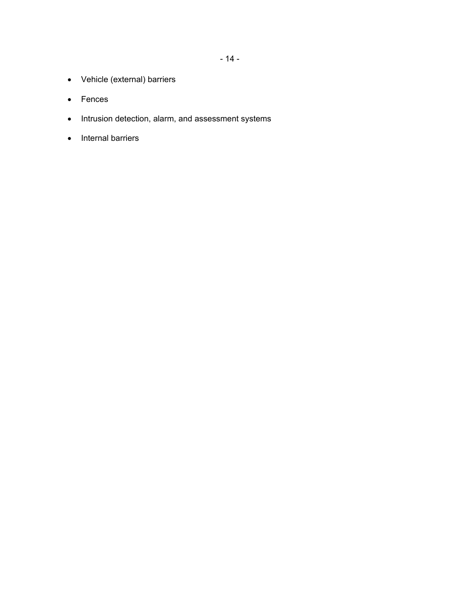- 14 -

- Vehicle (external) barriers
- Fences
- Intrusion detection, alarm, and assessment systems
- Internal barriers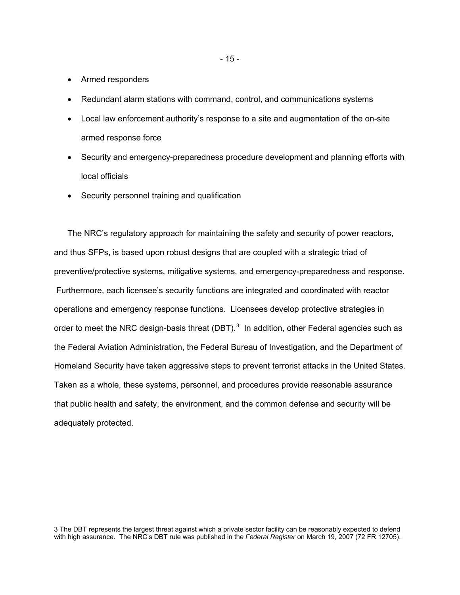• Armed responders

 $\overline{a}$ 

- Redundant alarm stations with command, control, and communications systems
- Local law enforcement authority's response to a site and augmentation of the on-site armed response force
- Security and emergency-preparedness procedure development and planning efforts with local officials
- Security personnel training and qualification

The NRC's regulatory approach for maintaining the safety and security of power reactors, and thus SFPs, is based upon robust designs that are coupled with a strategic triad of preventive/protective systems, mitigative systems, and emergency-preparedness and response. Furthermore, each licensee's security functions are integrated and coordinated with reactor operations and emergency response functions. Licensees develop protective strategies in order to meet the NRC design-basis threat (DBT).<sup>[3](#page-14-0)</sup> In addition, other Federal agencies such as the Federal Aviation Administration, the Federal Bureau of Investigation, and the Department of Homeland Security have taken aggressive steps to prevent terrorist attacks in the United States. Taken as a whole, these systems, personnel, and procedures provide reasonable assurance that public health and safety, the environment, and the common defense and security will be adequately protected.

<span id="page-14-0"></span><sup>3</sup> The DBT represents the largest threat against which a private sector facility can be reasonably expected to defend with high assurance. The NRC's DBT rule was published in the *Federal Register* on March 19, 2007 (72 FR 12705).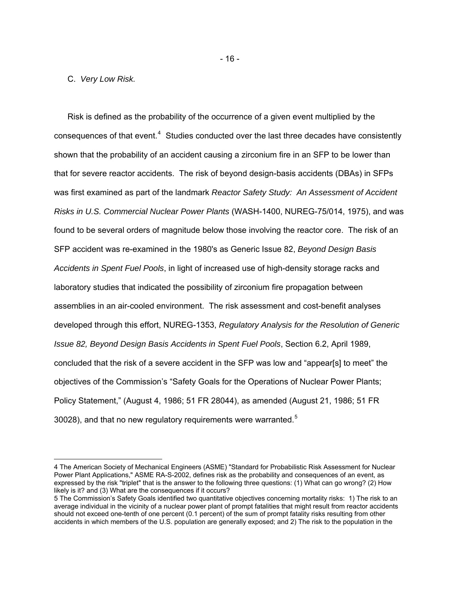## C. *Very Low Risk.*

 $\overline{a}$ 

Risk is defined as the probability of the occurrence of a given event multiplied by the consequences of that event. $4$  Studies conducted over the last three decades have consistently shown that the probability of an accident causing a zirconium fire in an SFP to be lower than that for severe reactor accidents. The risk of beyond design-basis accidents (DBAs) in SFPs was first examined as part of the landmark *Reactor Safety Study: An Assessment of Accident Risks in U.S. Commercial Nuclear Power Plants* (WASH-1400, NUREG-75/014, 1975), and was found to be several orders of magnitude below those involving the reactor core. The risk of an SFP accident was re-examined in the 1980's as Generic Issue 82, *Beyond Design Basis Accidents in Spent Fuel Pools*, in light of increased use of high-density storage racks and laboratory studies that indicated the possibility of zirconium fire propagation between assemblies in an air-cooled environment. The risk assessment and cost-benefit analyses developed through this effort, NUREG-1353, *Regulatory Analysis for the Resolution of Generic Issue 82, Beyond Design Basis Accidents in Spent Fuel Pools*, Section 6.2, April 1989, concluded that the risk of a severe accident in the SFP was low and "appear[s] to meet" the objectives of the Commission's "Safety Goals for the Operations of Nuclear Power Plants; Policy Statement," (August 4, 1986; 51 FR 28044), as amended (August 21, 1986; 51 FR 30028), and that no new regulatory requirements were warranted.<sup>[5](#page-15-1)</sup>

<span id="page-15-0"></span><sup>4</sup> The American Society of Mechanical Engineers (ASME) "Standard for Probabilistic Risk Assessment for Nuclear Power Plant Applications," ASME RA-S-2002, defines risk as the probability and consequences of an event, as expressed by the risk "triplet" that is the answer to the following three questions: (1) What can go wrong? (2) How likely is it? and (3) What are the consequences if it occurs?

<span id="page-15-1"></span><sup>5</sup> The Commission's Safety Goals identified two quantitative objectives concerning mortality risks: 1) The risk to an average individual in the vicinity of a nuclear power plant of prompt fatalities that might result from reactor accidents should not exceed one-tenth of one percent (0.1 percent) of the sum of prompt fatality risks resulting from other accidents in which members of the U.S. population are generally exposed; and 2) The risk to the population in the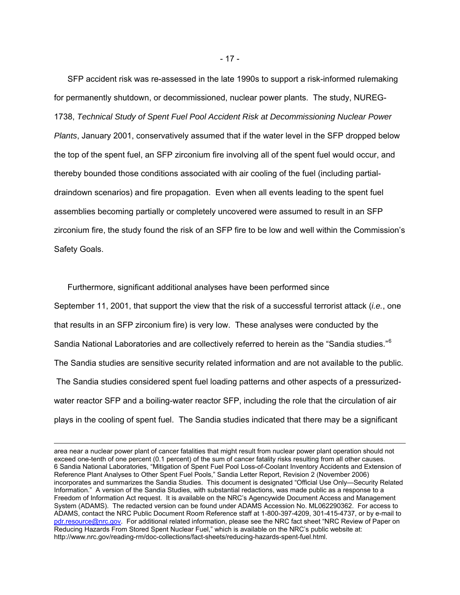SFP accident risk was re-assessed in the late 1990s to support a risk-informed rulemaking for permanently shutdown, or decommissioned, nuclear power plants. The study, NUREG-1738, *Technical Study of Spent Fuel Pool Accident Risk at Decommissioning Nuclear Power Plants*, January 2001, conservatively assumed that if the water level in the SFP dropped below the top of the spent fuel, an SFP zirconium fire involving all of the spent fuel would occur, and thereby bounded those conditions associated with air cooling of the fuel (including partialdraindown scenarios) and fire propagation. Even when all events leading to the spent fuel assemblies becoming partially or completely uncovered were assumed to result in an SFP zirconium fire, the study found the risk of an SFP fire to be low and well within the Commission's Safety Goals.

Furthermore, significant additional analyses have been performed since September 11, 2001, that support the view that the risk of a successful terrorist attack (*i.e.*, one that results in an SFP zirconium fire) is very low. These analyses were conducted by the Sandia National Laboratories and are collectively referred to herein as the "Sandia studies."<sup>[6](#page-16-0)</sup> The Sandia studies are sensitive security related information and are not available to the public. The Sandia studies considered spent fuel loading patterns and other aspects of a pressurizedwater reactor SFP and a boiling-water reactor SFP, including the role that the circulation of air plays in the cooling of spent fuel. The Sandia studies indicated that there may be a significant

 $\overline{a}$ 

<span id="page-16-0"></span>area near a nuclear power plant of cancer fatalities that might result from nuclear power plant operation should not exceed one-tenth of one percent (0.1 percent) of the sum of cancer fatality risks resulting from all other causes. 6 Sandia National Laboratories, "Mitigation of Spent Fuel Pool Loss-of-Coolant Inventory Accidents and Extension of Reference Plant Analyses to Other Spent Fuel Pools," Sandia Letter Report, Revision 2 (November 2006) incorporates and summarizes the Sandia Studies. This document is designated "Official Use Only—Security Related Information." A version of the Sandia Studies, with substantial redactions, was made public as a response to a Freedom of Information Act request. It is available on the NRC's Agencywide Document Access and Management System (ADAMS). The redacted version can be found under ADAMS Accession No. ML062290362. For access to ADAMS, contact the NRC Public Document Room Reference staff at 1-800-397-4209, 301-415-4737, or by e-mail to [pdr.resource@nrc.gov.](mailto:pdr.resource@nrc.gov) For additional related information, please see the NRC fact sheet "NRC Review of Paper on Reducing Hazards From Stored Spent Nuclear Fuel," which is available on the NRC's public website at: http://www.nrc.gov/reading-rm/doc-collections/fact-sheets/reducing-hazards-spent-fuel.html.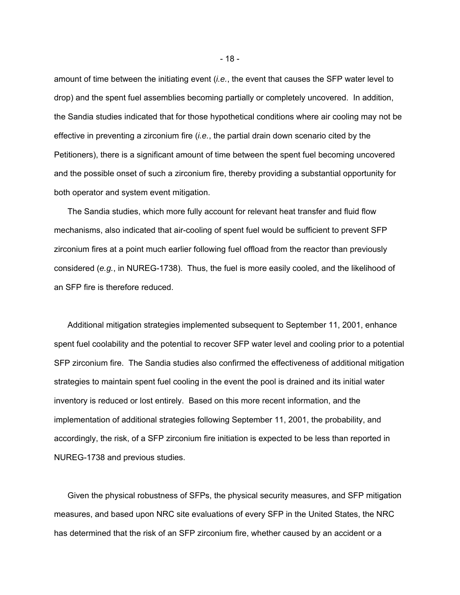amount of time between the initiating event (*i.e.*, the event that causes the SFP water level to drop) and the spent fuel assemblies becoming partially or completely uncovered. In addition, the Sandia studies indicated that for those hypothetical conditions where air cooling may not be effective in preventing a zirconium fire (*i.e.*, the partial drain down scenario cited by the Petitioners), there is a significant amount of time between the spent fuel becoming uncovered and the possible onset of such a zirconium fire, thereby providing a substantial opportunity for both operator and system event mitigation.

The Sandia studies, which more fully account for relevant heat transfer and fluid flow mechanisms, also indicated that air-cooling of spent fuel would be sufficient to prevent SFP zirconium fires at a point much earlier following fuel offload from the reactor than previously considered (*e.g.*, in NUREG-1738). Thus, the fuel is more easily cooled, and the likelihood of an SFP fire is therefore reduced.

Additional mitigation strategies implemented subsequent to September 11, 2001, enhance spent fuel coolability and the potential to recover SFP water level and cooling prior to a potential SFP zirconium fire. The Sandia studies also confirmed the effectiveness of additional mitigation strategies to maintain spent fuel cooling in the event the pool is drained and its initial water inventory is reduced or lost entirely. Based on this more recent information, and the implementation of additional strategies following September 11, 2001, the probability, and accordingly, the risk, of a SFP zirconium fire initiation is expected to be less than reported in NUREG-1738 and previous studies.

Given the physical robustness of SFPs, the physical security measures, and SFP mitigation measures, and based upon NRC site evaluations of every SFP in the United States, the NRC has determined that the risk of an SFP zirconium fire, whether caused by an accident or a

- 18 -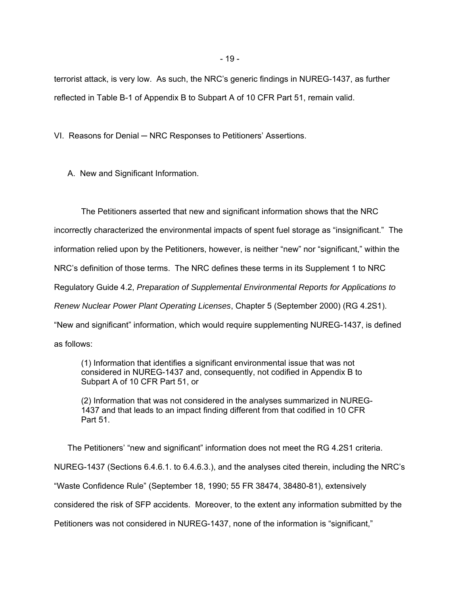terrorist attack, is very low. As such, the NRC's generic findings in NUREG-1437, as further reflected in Table B-1 of Appendix B to Subpart A of 10 CFR Part 51, remain valid.

VI. Reasons for Denial – NRC Responses to Petitioners' Assertions.

A. New and Significant Information.

The Petitioners asserted that new and significant information shows that the NRC incorrectly characterized the environmental impacts of spent fuel storage as "insignificant." The information relied upon by the Petitioners, however, is neither "new" nor "significant," within the NRC's definition of those terms. The NRC defines these terms in its Supplement 1 to NRC Regulatory Guide 4.2, *Preparation of Supplemental Environmental Reports for Applications to Renew Nuclear Power Plant Operating Licenses*, Chapter 5 (September 2000) (RG 4.2S1). "New and significant" information, which would require supplementing NUREG-1437, is defined as follows:

(1) Information that identifies a significant environmental issue that was not considered in NUREG-1437 and, consequently, not codified in Appendix B to Subpart A of 10 CFR Part 51, or

(2) Information that was not considered in the analyses summarized in NUREG-1437 and that leads to an impact finding different from that codified in 10 CFR Part 51.

The Petitioners' "new and significant" information does not meet the RG 4.2S1 criteria. NUREG-1437 (Sections 6.4.6.1. to 6.4.6.3.), and the analyses cited therein, including the NRC's "Waste Confidence Rule" (September 18, 1990; 55 FR 38474, 38480-81), extensively considered the risk of SFP accidents. Moreover, to the extent any information submitted by the Petitioners was not considered in NUREG-1437, none of the information is "significant,"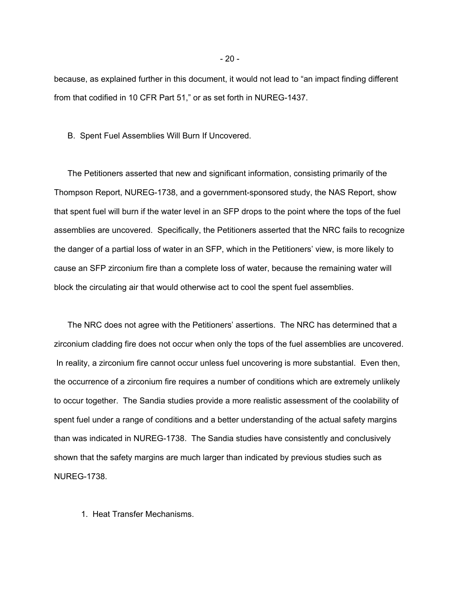because, as explained further in this document, it would not lead to "an impact finding different from that codified in 10 CFR Part 51," or as set forth in NUREG-1437.

B. Spent Fuel Assemblies Will Burn If Uncovered.

The Petitioners asserted that new and significant information, consisting primarily of the Thompson Report, NUREG-1738, and a government-sponsored study, the NAS Report, show that spent fuel will burn if the water level in an SFP drops to the point where the tops of the fuel assemblies are uncovered. Specifically, the Petitioners asserted that the NRC fails to recognize the danger of a partial loss of water in an SFP, which in the Petitioners' view, is more likely to cause an SFP zirconium fire than a complete loss of water, because the remaining water will block the circulating air that would otherwise act to cool the spent fuel assemblies.

The NRC does not agree with the Petitioners' assertions. The NRC has determined that a zirconium cladding fire does not occur when only the tops of the fuel assemblies are uncovered. In reality, a zirconium fire cannot occur unless fuel uncovering is more substantial. Even then, the occurrence of a zirconium fire requires a number of conditions which are extremely unlikely to occur together. The Sandia studies provide a more realistic assessment of the coolability of spent fuel under a range of conditions and a better understanding of the actual safety margins than was indicated in NUREG-1738. The Sandia studies have consistently and conclusively shown that the safety margins are much larger than indicated by previous studies such as NUREG-1738.

1. Heat Transfer Mechanisms.

- 20 -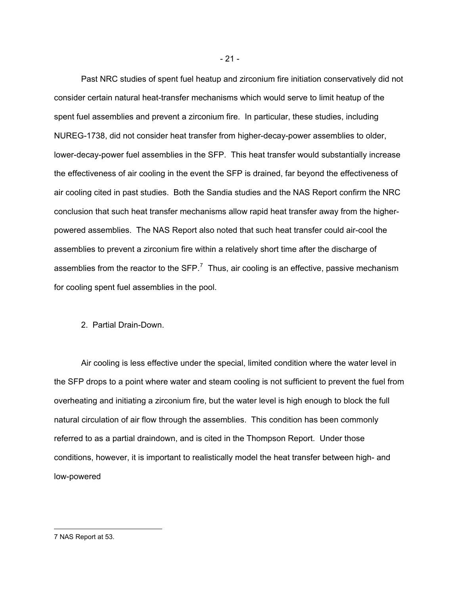Past NRC studies of spent fuel heatup and zirconium fire initiation conservatively did not consider certain natural heat-transfer mechanisms which would serve to limit heatup of the spent fuel assemblies and prevent a zirconium fire. In particular, these studies, including NUREG-1738, did not consider heat transfer from higher-decay-power assemblies to older, lower-decay-power fuel assemblies in the SFP. This heat transfer would substantially increase the effectiveness of air cooling in the event the SFP is drained, far beyond the effectiveness of air cooling cited in past studies. Both the Sandia studies and the NAS Report confirm the NRC conclusion that such heat transfer mechanisms allow rapid heat transfer away from the higherpowered assemblies. The NAS Report also noted that such heat transfer could air-cool the assemblies to prevent a zirconium fire within a relatively short time after the discharge of assemblies from the reactor to the  $SFP<sup>7</sup>$  $SFP<sup>7</sup>$  $SFP<sup>7</sup>$  Thus, air cooling is an effective, passive mechanism for cooling spent fuel assemblies in the pool.

#### 2. Partial Drain-Down.

Air cooling is less effective under the special, limited condition where the water level in the SFP drops to a point where water and steam cooling is not sufficient to prevent the fuel from overheating and initiating a zirconium fire, but the water level is high enough to block the full natural circulation of air flow through the assemblies. This condition has been commonly referred to as a partial draindown, and is cited in the Thompson Report. Under those conditions, however, it is important to realistically model the heat transfer between high- and low-powered

- 21 -

 $\overline{a}$ 

<span id="page-20-0"></span><sup>7</sup> NAS Report at 53.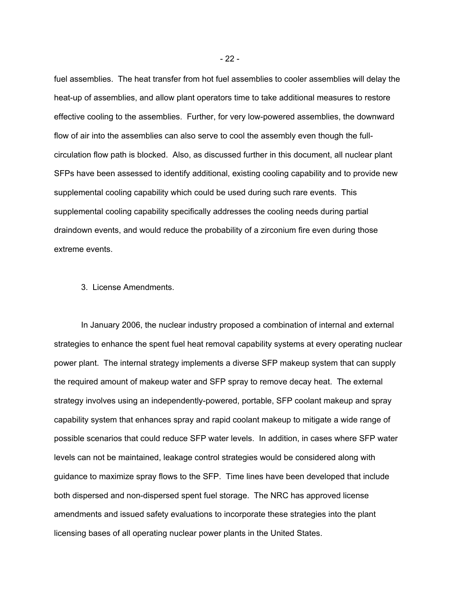fuel assemblies. The heat transfer from hot fuel assemblies to cooler assemblies will delay the heat-up of assemblies, and allow plant operators time to take additional measures to restore effective cooling to the assemblies. Further, for very low-powered assemblies, the downward flow of air into the assemblies can also serve to cool the assembly even though the fullcirculation flow path is blocked. Also, as discussed further in this document, all nuclear plant SFPs have been assessed to identify additional, existing cooling capability and to provide new supplemental cooling capability which could be used during such rare events. This supplemental cooling capability specifically addresses the cooling needs during partial draindown events, and would reduce the probability of a zirconium fire even during those extreme events.

#### 3. License Amendments.

In January 2006, the nuclear industry proposed a combination of internal and external strategies to enhance the spent fuel heat removal capability systems at every operating nuclear power plant. The internal strategy implements a diverse SFP makeup system that can supply the required amount of makeup water and SFP spray to remove decay heat. The external strategy involves using an independently-powered, portable, SFP coolant makeup and spray capability system that enhances spray and rapid coolant makeup to mitigate a wide range of possible scenarios that could reduce SFP water levels. In addition, in cases where SFP water levels can not be maintained, leakage control strategies would be considered along with guidance to maximize spray flows to the SFP. Time lines have been developed that include both dispersed and non-dispersed spent fuel storage. The NRC has approved license amendments and issued safety evaluations to incorporate these strategies into the plant licensing bases of all operating nuclear power plants in the United States.

- 22 -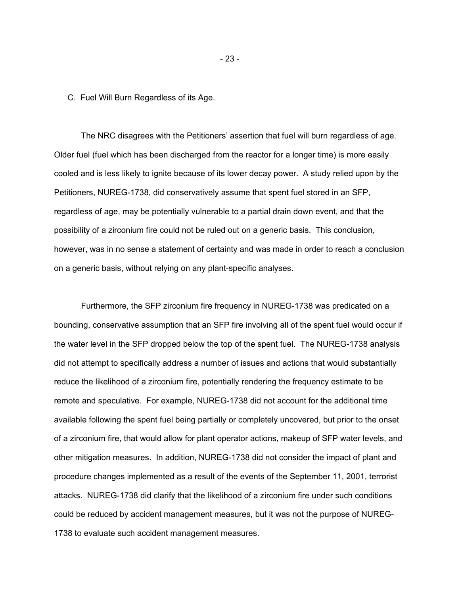C. Fuel Will Burn Regardless of its Age.

The NRC disagrees with the Petitioners' assertion that fuel will burn regardless of age. Older fuel (fuel which has been discharged from the reactor for a longer time) is more easily cooled and is less likely to ignite because of its lower decay power. A study relied upon by the Petitioners, NUREG-1738, did conservatively assume that spent fuel stored in an SFP, regardless of age, may be potentially vulnerable to a partial drain down event, and that the possibility of a zirconium fire could not be ruled out on a generic basis. This conclusion, however, was in no sense a statement of certainty and was made in order to reach a conclusion on a generic basis, without relying on any plant-specific analyses.

Furthermore, the SFP zirconium fire frequency in NUREG-1738 was predicated on a bounding, conservative assumption that an SFP fire involving all of the spent fuel would occur if the water level in the SFP dropped below the top of the spent fuel. The NUREG-1738 analysis did not attempt to specifically address a number of issues and actions that would substantially reduce the likelihood of a zirconium fire, potentially rendering the frequency estimate to be remote and speculative. For example, NUREG-1738 did not account for the additional time available following the spent fuel being partially or completely uncovered, but prior to the onset of a zirconium fire, that would allow for plant operator actions, makeup of SFP water levels, and other mitigation measures. In addition, NUREG-1738 did not consider the impact of plant and procedure changes implemented as a result of the events of the September 11, 2001, terrorist attacks. NUREG-1738 did clarify that the likelihood of a zirconium fire under such conditions could be reduced by accident management measures, but it was not the purpose of NUREG-1738 to evaluate such accident management measures.

- 23 -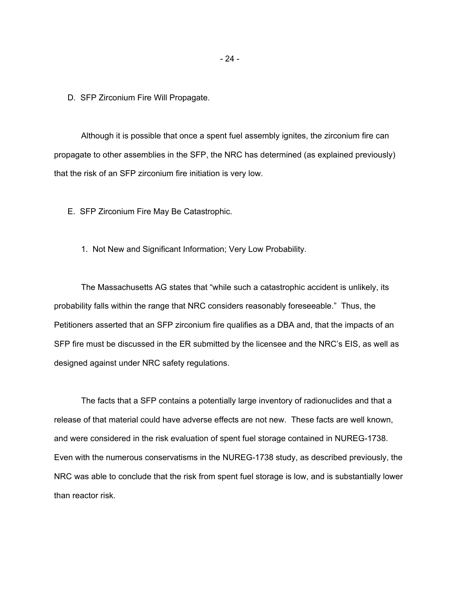D. SFP Zirconium Fire Will Propagate.

Although it is possible that once a spent fuel assembly ignites, the zirconium fire can propagate to other assemblies in the SFP, the NRC has determined (as explained previously) that the risk of an SFP zirconium fire initiation is very low.

E. SFP Zirconium Fire May Be Catastrophic.

1. Not New and Significant Information; Very Low Probability.

The Massachusetts AG states that "while such a catastrophic accident is unlikely, its probability falls within the range that NRC considers reasonably foreseeable." Thus, the Petitioners asserted that an SFP zirconium fire qualifies as a DBA and, that the impacts of an SFP fire must be discussed in the ER submitted by the licensee and the NRC's EIS, as well as designed against under NRC safety regulations.

The facts that a SFP contains a potentially large inventory of radionuclides and that a release of that material could have adverse effects are not new. These facts are well known, and were considered in the risk evaluation of spent fuel storage contained in NUREG-1738. Even with the numerous conservatisms in the NUREG-1738 study, as described previously, the NRC was able to conclude that the risk from spent fuel storage is low, and is substantially lower than reactor risk.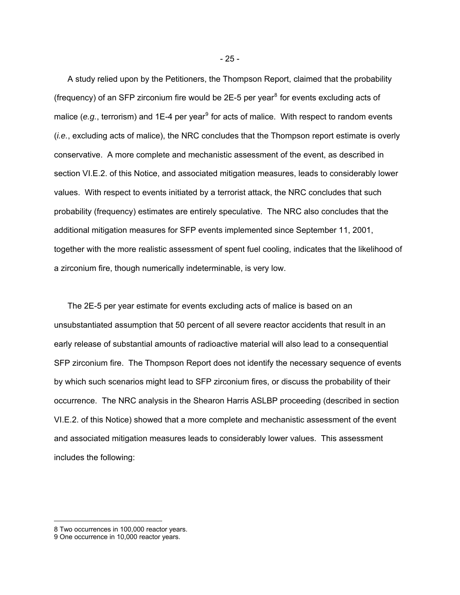A study relied upon by the Petitioners, the Thompson Report, claimed that the probability (frequency) of an SFP zirconium fire would be 2E-5 per year $8$  for events excluding acts of malice (e.g., terrorism) and 1E-4 per year<sup>[9](#page-24-1)</sup> for acts of malice. With respect to random events (*i.e.*, excluding acts of malice), the NRC concludes that the Thompson report estimate is overly conservative. A more complete and mechanistic assessment of the event, as described in section VI.E.2. of this Notice, and associated mitigation measures, leads to considerably lower values. With respect to events initiated by a terrorist attack, the NRC concludes that such probability (frequency) estimates are entirely speculative. The NRC also concludes that the additional mitigation measures for SFP events implemented since September 11, 2001, together with the more realistic assessment of spent fuel cooling, indicates that the likelihood of a zirconium fire, though numerically indeterminable, is very low.

The 2E-5 per year estimate for events excluding acts of malice is based on an unsubstantiated assumption that 50 percent of all severe reactor accidents that result in an early release of substantial amounts of radioactive material will also lead to a consequential SFP zirconium fire. The Thompson Report does not identify the necessary sequence of events by which such scenarios might lead to SFP zirconium fires, or discuss the probability of their occurrence. The NRC analysis in the Shearon Harris ASLBP proceeding (described in section VI.E.2. of this Notice) showed that a more complete and mechanistic assessment of the event and associated mitigation measures leads to considerably lower values. This assessment includes the following:

 $\overline{a}$ 

<span id="page-24-0"></span><sup>8</sup> Two occurrences in 100,000 reactor years.

<span id="page-24-1"></span><sup>9</sup> One occurrence in 10,000 reactor years.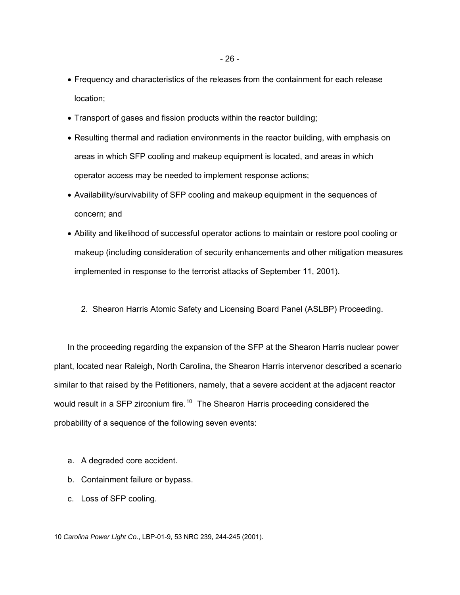- Frequency and characteristics of the releases from the containment for each release location;
- Transport of gases and fission products within the reactor building;
- Resulting thermal and radiation environments in the reactor building, with emphasis on areas in which SFP cooling and makeup equipment is located, and areas in which operator access may be needed to implement response actions;
- Availability/survivability of SFP cooling and makeup equipment in the sequences of concern; and
- Ability and likelihood of successful operator actions to maintain or restore pool cooling or makeup (including consideration of security enhancements and other mitigation measures implemented in response to the terrorist attacks of September 11, 2001).
	- 2. Shearon Harris Atomic Safety and Licensing Board Panel (ASLBP) Proceeding.

In the proceeding regarding the expansion of the SFP at the Shearon Harris nuclear power plant, located near Raleigh, North Carolina, the Shearon Harris intervenor described a scenario similar to that raised by the Petitioners, namely, that a severe accident at the adjacent reactor would result in a SFP zirconium fire.<sup>[10](#page-25-0)</sup> The Shearon Harris proceeding considered the probability of a sequence of the following seven events:

- a. A degraded core accident.
- b. Containment failure or bypass.
- c. Loss of SFP cooling.

<span id="page-25-0"></span> $\overline{a}$ 10 *Carolina Power Light Co.*, LBP-01-9, 53 NRC 239, 244-245 (2001).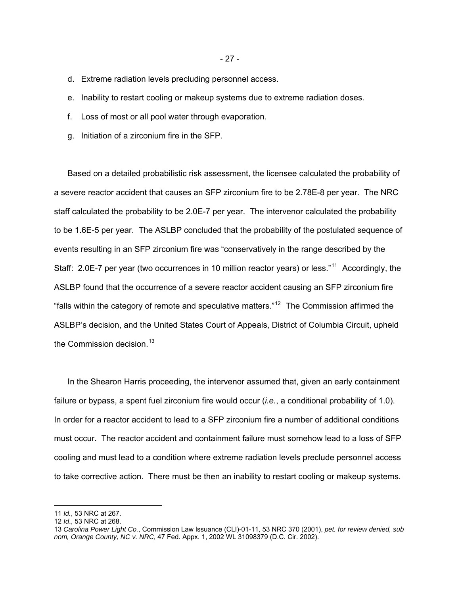- d. Extreme radiation levels precluding personnel access.
- e. Inability to restart cooling or makeup systems due to extreme radiation doses.
- f. Loss of most or all pool water through evaporation.
- g. Initiation of a zirconium fire in the SFP.

Based on a detailed probabilistic risk assessment, the licensee calculated the probability of a severe reactor accident that causes an SFP zirconium fire to be 2.78E-8 per year. The NRC staff calculated the probability to be 2.0E-7 per year. The intervenor calculated the probability to be 1.6E-5 per year. The ASLBP concluded that the probability of the postulated sequence of events resulting in an SFP zirconium fire was "conservatively in the range described by the Staff: 2.0E-7 per year (two occurrences in 10 million reactor years) or less."<sup>[11](#page-26-0)</sup> Accordingly, the ASLBP found that the occurrence of a severe reactor accident causing an SFP zirconium fire "falls within the category of remote and speculative matters."<sup>[12](#page-26-1)</sup> The Commission affirmed the ASLBP's decision, and the United States Court of Appeals, District of Columbia Circuit, upheld the Commission decision.<sup>[13](#page-26-2)</sup>

In the Shearon Harris proceeding, the intervenor assumed that, given an early containment failure or bypass, a spent fuel zirconium fire would occur (*i.e.*, a conditional probability of 1.0). In order for a reactor accident to lead to a SFP zirconium fire a number of additional conditions must occur. The reactor accident and containment failure must somehow lead to a loss of SFP cooling and must lead to a condition where extreme radiation levels preclude personnel access to take corrective action. There must be then an inability to restart cooling or makeup systems.

 $\overline{a}$ 

- 27 -

<span id="page-26-0"></span><sup>11</sup> *Id.*, 53 NRC at 267.

<span id="page-26-1"></span><sup>12</sup> *Id*., 53 NRC at 268.

<span id="page-26-2"></span><sup>13</sup> *Carolina Power Light Co.*, Commission Law Issuance (CLI)-01-11, 53 NRC 370 (2001), *pet. for review denied, sub nom, Orange County, NC v. NRC*, 47 Fed. Appx. 1, 2002 WL 31098379 (D.C. Cir. 2002).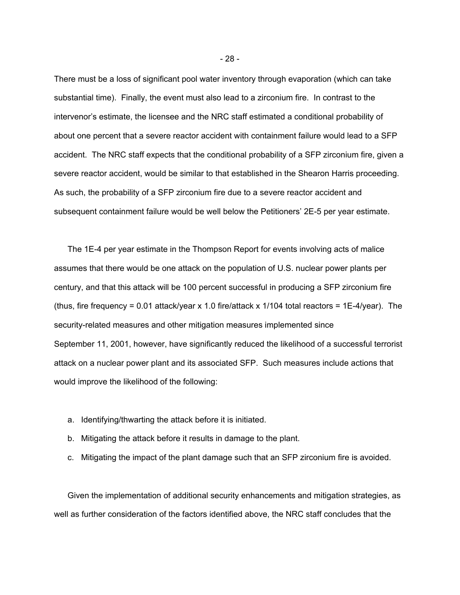There must be a loss of significant pool water inventory through evaporation (which can take substantial time). Finally, the event must also lead to a zirconium fire. In contrast to the intervenor's estimate, the licensee and the NRC staff estimated a conditional probability of about one percent that a severe reactor accident with containment failure would lead to a SFP accident. The NRC staff expects that the conditional probability of a SFP zirconium fire, given a severe reactor accident, would be similar to that established in the Shearon Harris proceeding. As such, the probability of a SFP zirconium fire due to a severe reactor accident and subsequent containment failure would be well below the Petitioners' 2E-5 per year estimate.

The 1E-4 per year estimate in the Thompson Report for events involving acts of malice assumes that there would be one attack on the population of U.S. nuclear power plants per century, and that this attack will be 100 percent successful in producing a SFP zirconium fire (thus, fire frequency = 0.01 attack/year x 1.0 fire/attack x 1/104 total reactors = 1E-4/year). The security-related measures and other mitigation measures implemented since September 11, 2001, however, have significantly reduced the likelihood of a successful terrorist attack on a nuclear power plant and its associated SFP. Such measures include actions that would improve the likelihood of the following:

- a. Identifying/thwarting the attack before it is initiated.
- b. Mitigating the attack before it results in damage to the plant.
- c. Mitigating the impact of the plant damage such that an SFP zirconium fire is avoided.

Given the implementation of additional security enhancements and mitigation strategies, as well as further consideration of the factors identified above, the NRC staff concludes that the

- 28 -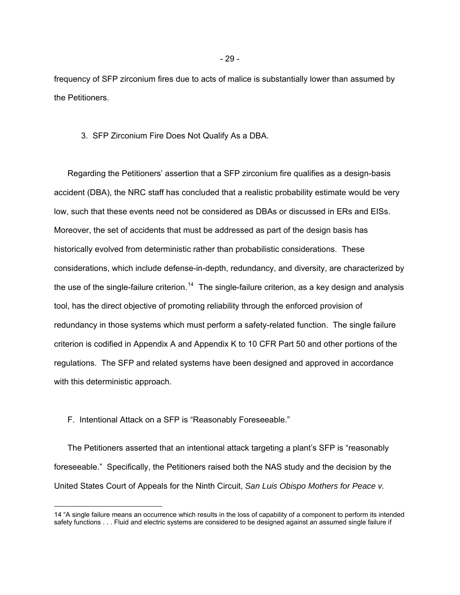frequency of SFP zirconium fires due to acts of malice is substantially lower than assumed by the Petitioners.

### 3. SFP Zirconium Fire Does Not Qualify As a DBA.

Regarding the Petitioners' assertion that a SFP zirconium fire qualifies as a design-basis accident (DBA), the NRC staff has concluded that a realistic probability estimate would be very low, such that these events need not be considered as DBAs or discussed in ERs and EISs. Moreover, the set of accidents that must be addressed as part of the design basis has historically evolved from deterministic rather than probabilistic considerations. These considerations, which include defense-in-depth, redundancy, and diversity, are characterized by the use of the single-failure criterion.<sup>[14](#page-28-0)</sup> The single-failure criterion, as a key design and analysis tool, has the direct objective of promoting reliability through the enforced provision of redundancy in those systems which must perform a safety-related function. The single failure criterion is codified in Appendix A and Appendix K to 10 CFR Part 50 and other portions of the regulations. The SFP and related systems have been designed and approved in accordance with this deterministic approach.

## F. Intentional Attack on a SFP is "Reasonably Foreseeable."

 $\overline{a}$ 

The Petitioners asserted that an intentional attack targeting a plant's SFP is "reasonably foreseeable." Specifically, the Petitioners raised both the NAS study and the decision by the United States Court of Appeals for the Ninth Circuit, *San Luis Obispo Mothers for Peace v.* 

<span id="page-28-0"></span><sup>14 &</sup>quot;A single failure means an occurrence which results in the loss of capability of a component to perform its intended safety functions . . . Fluid and electric systems are considered to be designed against an assumed single failure if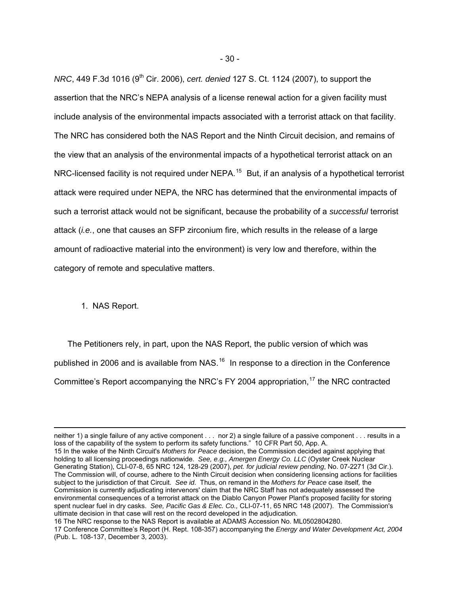*NRC*, 449 F.3d 1016 (9<sup>th</sup> Cir. 2006), *cert. denied* 127 S. Ct. 1124 (2007), to support the assertion that the NRC's NEPA analysis of a license renewal action for a given facility must include analysis of the environmental impacts associated with a terrorist attack on that facility. The NRC has considered both the NAS Report and the Ninth Circuit decision, and remains of the view that an analysis of the environmental impacts of a hypothetical terrorist attack on an NRC-licensed facility is not required under NEPA.<sup>[15](#page-29-0)</sup> But, if an analysis of a hypothetical terrorist attack were required under NEPA, the NRC has determined that the environmental impacts of such a terrorist attack would not be significant, because the probability of a *successful* terrorist attack (*i.e.*, one that causes an SFP zirconium fire, which results in the release of a large amount of radioactive material into the environment) is very low and therefore, within the category of remote and speculative matters.

## 1. NAS Report.

 $\overline{a}$ 

The Petitioners rely, in part, upon the NAS Report, the public version of which was published in 2006 and is available from NAS.<sup>[16](#page-29-1)</sup> In response to a direction in the Conference Committee's Report accompanying the NRC's FY 2004 appropriation,<sup>[17](#page-29-2)</sup> the NRC contracted

<span id="page-29-0"></span>neither 1) a single failure of any active component . . . nor 2) a single failure of a passive component . . . results in a loss of the capability of the system to perform its safety functions." 10 CFR Part 50, App. A. 15 In the wake of the Ninth Circuit's *Mothers for Peace* decision, the Commission decided against applying that holding to all licensing proceedings nationwide. *See, e.g., Amergen Energy Co. LLC* (Oyster Creek Nuclear Generating Station), CLI-07-8, 65 NRC 124, 128-29 (2007), *pet. for judicial review pending*, No. 07-2271 (3d Cir.). The Commission will, of course, adhere to the Ninth Circuit decision when considering licensing actions for facilities subject to the jurisdiction of that Circuit. *See id*. Thus, on remand in the *Mothers for Peace* case itself*,* the Commission is currently adjudicating intervenors' claim that the NRC Staff has not adequately assessed the environmental consequences of a terrorist attack on the Diablo Canyon Power Plant's proposed facility for storing spent nuclear fuel in dry casks. *See, Pacific Gas & Elec. Co.,* CLI-07-11, 65 NRC 148 (2007). The Commission's ultimate decision in that case will rest on the record developed in the adjudication.

<span id="page-29-2"></span><span id="page-29-1"></span><sup>16</sup> The NRC response to the NAS Report is available at ADAMS Accession No. ML0502804280. 17 Conference Committee's Report (H. Rept. 108-357) accompanying the *Energy and Water Development Act, 2004* (Pub. L. 108-137, December 3, 2003).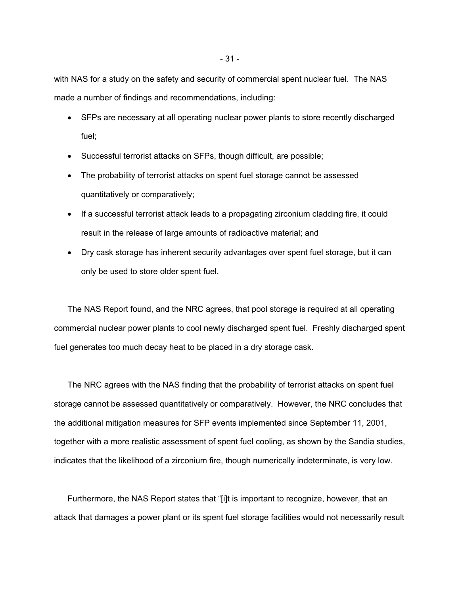with NAS for a study on the safety and security of commercial spent nuclear fuel. The NAS made a number of findings and recommendations, including:

- SFPs are necessary at all operating nuclear power plants to store recently discharged fuel;
- Successful terrorist attacks on SFPs, though difficult, are possible;
- The probability of terrorist attacks on spent fuel storage cannot be assessed quantitatively or comparatively;
- If a successful terrorist attack leads to a propagating zirconium cladding fire, it could result in the release of large amounts of radioactive material; and
- Dry cask storage has inherent security advantages over spent fuel storage, but it can only be used to store older spent fuel.

The NAS Report found, and the NRC agrees, that pool storage is required at all operating commercial nuclear power plants to cool newly discharged spent fuel. Freshly discharged spent fuel generates too much decay heat to be placed in a dry storage cask.

The NRC agrees with the NAS finding that the probability of terrorist attacks on spent fuel storage cannot be assessed quantitatively or comparatively. However, the NRC concludes that the additional mitigation measures for SFP events implemented since September 11, 2001, together with a more realistic assessment of spent fuel cooling, as shown by the Sandia studies, indicates that the likelihood of a zirconium fire, though numerically indeterminate, is very low.

Furthermore, the NAS Report states that "[i]t is important to recognize, however, that an attack that damages a power plant or its spent fuel storage facilities would not necessarily result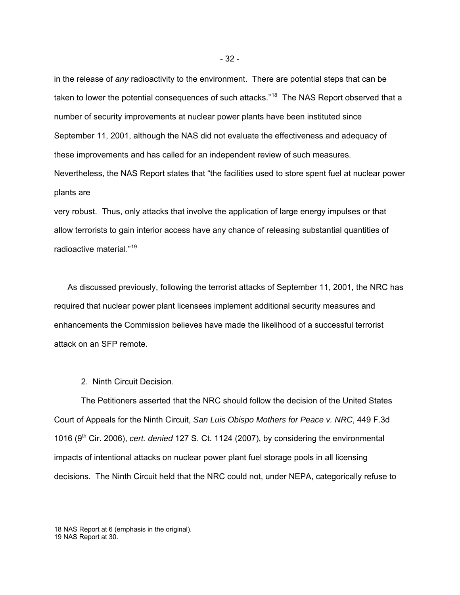in the release of *any* radioactivity to the environment. There are potential steps that can be taken to lower the potential consequences of such attacks."<sup>[18](#page-31-0)</sup> The NAS Report observed that a number of security improvements at nuclear power plants have been instituted since September 11, 2001, although the NAS did not evaluate the effectiveness and adequacy of these improvements and has called for an independent review of such measures. Nevertheless, the NAS Report states that "the facilities used to store spent fuel at nuclear power plants are

very robust. Thus, only attacks that involve the application of large energy impulses or that allow terrorists to gain interior access have any chance of releasing substantial quantities of radioactive material."[19](#page-31-1)

As discussed previously, following the terrorist attacks of September 11, 2001, the NRC has required that nuclear power plant licensees implement additional security measures and enhancements the Commission believes have made the likelihood of a successful terrorist attack on an SFP remote.

2. Ninth Circuit Decision.

The Petitioners asserted that the NRC should follow the decision of the United States Court of Appeals for the Ninth Circuit, *San Luis Obispo Mothers for Peace v. NRC*, 449 F.3d 1016 (9<sup>th</sup> Cir. 2006), *cert. denied* 127 S. Ct. 1124 (2007), by considering the environmental impacts of intentional attacks on nuclear power plant fuel storage pools in all licensing decisions. The Ninth Circuit held that the NRC could not, under NEPA, categorically refuse to

 $\overline{a}$ 

<span id="page-31-0"></span><sup>18</sup> NAS Report at 6 (emphasis in the original).

<span id="page-31-1"></span><sup>19</sup> NAS Report at 30.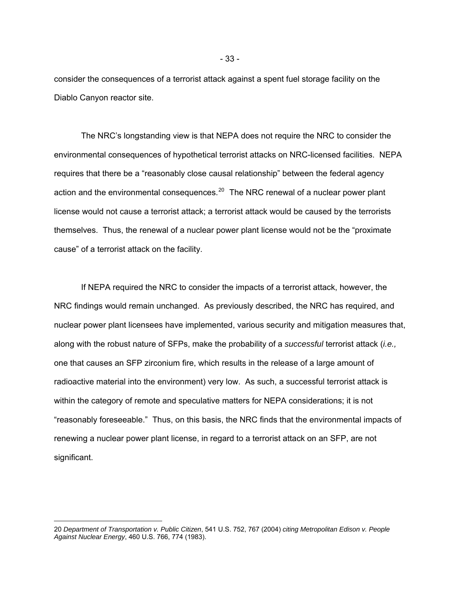consider the consequences of a terrorist attack against a spent fuel storage facility on the Diablo Canyon reactor site.

 The NRC's longstanding view is that NEPA does not require the NRC to consider the environmental consequences of hypothetical terrorist attacks on NRC-licensed facilities. NEPA requires that there be a "reasonably close causal relationship" between the federal agency action and the environmental consequences.<sup>[20](#page-32-0)</sup> The NRC renewal of a nuclear power plant license would not cause a terrorist attack; a terrorist attack would be caused by the terrorists themselves. Thus, the renewal of a nuclear power plant license would not be the "proximate cause" of a terrorist attack on the facility.

If NEPA required the NRC to consider the impacts of a terrorist attack, however, the NRC findings would remain unchanged. As previously described, the NRC has required, and nuclear power plant licensees have implemented, various security and mitigation measures that, along with the robust nature of SFPs, make the probability of a *successful* terrorist attack (*i.e.,* one that causes an SFP zirconium fire, which results in the release of a large amount of radioactive material into the environment) very low. As such, a successful terrorist attack is within the category of remote and speculative matters for NEPA considerations; it is not "reasonably foreseeable." Thus, on this basis, the NRC finds that the environmental impacts of renewing a nuclear power plant license, in regard to a terrorist attack on an SFP, are not significant.

 $\overline{a}$ 

<span id="page-32-0"></span><sup>20</sup> *Department of Transportation v. Public Citizen*, 541 U.S. 752, 767 (2004) *citing Metropolitan Edison v. People Against Nuclear Energy*, 460 U.S. 766, 774 (1983).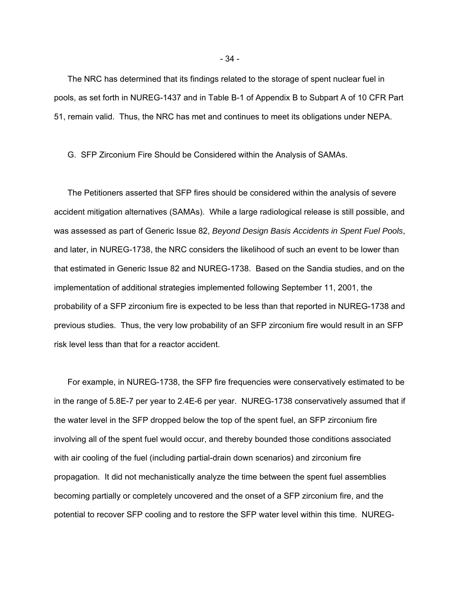The NRC has determined that its findings related to the storage of spent nuclear fuel in pools, as set forth in NUREG-1437 and in Table B-1 of Appendix B to Subpart A of 10 CFR Part 51, remain valid. Thus, the NRC has met and continues to meet its obligations under NEPA.

G. SFP Zirconium Fire Should be Considered within the Analysis of SAMAs.

The Petitioners asserted that SFP fires should be considered within the analysis of severe accident mitigation alternatives (SAMAs). While a large radiological release is still possible, and was assessed as part of Generic Issue 82, *Beyond Design Basis Accidents in Spent Fuel Pools*, and later, in NUREG-1738, the NRC considers the likelihood of such an event to be lower than that estimated in Generic Issue 82 and NUREG-1738. Based on the Sandia studies, and on the implementation of additional strategies implemented following September 11, 2001, the probability of a SFP zirconium fire is expected to be less than that reported in NUREG-1738 and previous studies. Thus, the very low probability of an SFP zirconium fire would result in an SFP risk level less than that for a reactor accident.

For example, in NUREG-1738, the SFP fire frequencies were conservatively estimated to be in the range of 5.8E-7 per year to 2.4E-6 per year. NUREG-1738 conservatively assumed that if the water level in the SFP dropped below the top of the spent fuel, an SFP zirconium fire involving all of the spent fuel would occur, and thereby bounded those conditions associated with air cooling of the fuel (including partial-drain down scenarios) and zirconium fire propagation. It did not mechanistically analyze the time between the spent fuel assemblies becoming partially or completely uncovered and the onset of a SFP zirconium fire, and the potential to recover SFP cooling and to restore the SFP water level within this time. NUREG-

- 34 -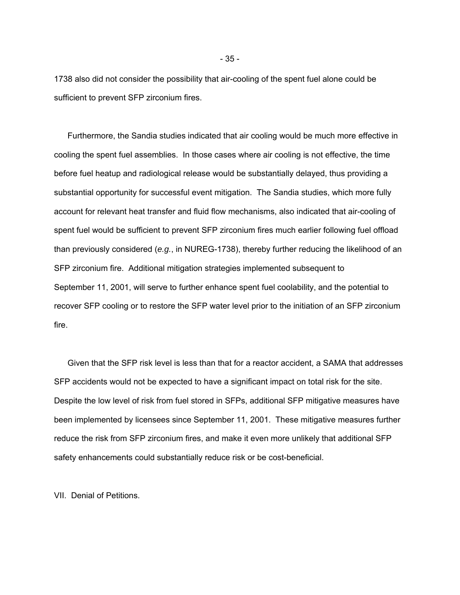1738 also did not consider the possibility that air-cooling of the spent fuel alone could be sufficient to prevent SFP zirconium fires.

Furthermore, the Sandia studies indicated that air cooling would be much more effective in cooling the spent fuel assemblies. In those cases where air cooling is not effective, the time before fuel heatup and radiological release would be substantially delayed, thus providing a substantial opportunity for successful event mitigation. The Sandia studies, which more fully account for relevant heat transfer and fluid flow mechanisms, also indicated that air-cooling of spent fuel would be sufficient to prevent SFP zirconium fires much earlier following fuel offload than previously considered (*e.g.*, in NUREG-1738), thereby further reducing the likelihood of an SFP zirconium fire. Additional mitigation strategies implemented subsequent to September 11, 2001, will serve to further enhance spent fuel coolability, and the potential to recover SFP cooling or to restore the SFP water level prior to the initiation of an SFP zirconium fire.

Given that the SFP risk level is less than that for a reactor accident, a SAMA that addresses SFP accidents would not be expected to have a significant impact on total risk for the site. Despite the low level of risk from fuel stored in SFPs, additional SFP mitigative measures have been implemented by licensees since September 11, 2001. These mitigative measures further reduce the risk from SFP zirconium fires, and make it even more unlikely that additional SFP safety enhancements could substantially reduce risk or be cost-beneficial.

VII. Denial of Petitions.

- 35 -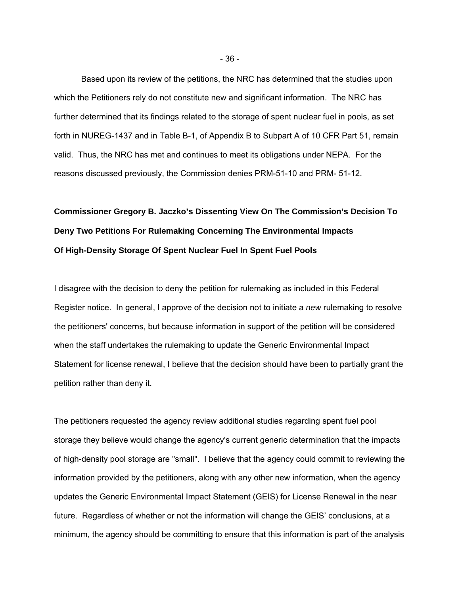Based upon its review of the petitions, the NRC has determined that the studies upon which the Petitioners rely do not constitute new and significant information. The NRC has further determined that its findings related to the storage of spent nuclear fuel in pools, as set forth in NUREG-1437 and in Table B-1, of Appendix B to Subpart A of 10 CFR Part 51, remain valid. Thus, the NRC has met and continues to meet its obligations under NEPA. For the reasons discussed previously, the Commission denies PRM-51-10 and PRM- 51-12.

# **Commissioner Gregory B. Jaczko's Dissenting View On The Commission's Decision To Deny Two Petitions For Rulemaking Concerning The Environmental Impacts Of High-Density Storage Of Spent Nuclear Fuel In Spent Fuel Pools**

I disagree with the decision to deny the petition for rulemaking as included in this Federal Register notice. In general, I approve of the decision not to initiate a *new* rulemaking to resolve the petitioners' concerns, but because information in support of the petition will be considered when the staff undertakes the rulemaking to update the Generic Environmental Impact Statement for license renewal, I believe that the decision should have been to partially grant the petition rather than deny it.

The petitioners requested the agency review additional studies regarding spent fuel pool storage they believe would change the agency's current generic determination that the impacts of high-density pool storage are "small". I believe that the agency could commit to reviewing the information provided by the petitioners, along with any other new information, when the agency updates the Generic Environmental Impact Statement (GEIS) for License Renewal in the near future. Regardless of whether or not the information will change the GEIS' conclusions, at a minimum, the agency should be committing to ensure that this information is part of the analysis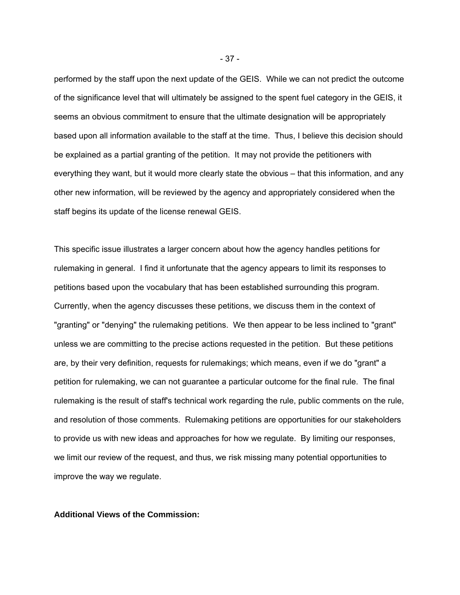performed by the staff upon the next update of the GEIS. While we can not predict the outcome of the significance level that will ultimately be assigned to the spent fuel category in the GEIS, it seems an obvious commitment to ensure that the ultimate designation will be appropriately based upon all information available to the staff at the time. Thus, I believe this decision should be explained as a partial granting of the petition. It may not provide the petitioners with everything they want, but it would more clearly state the obvious – that this information, and any other new information, will be reviewed by the agency and appropriately considered when the staff begins its update of the license renewal GEIS.

This specific issue illustrates a larger concern about how the agency handles petitions for rulemaking in general. I find it unfortunate that the agency appears to limit its responses to petitions based upon the vocabulary that has been established surrounding this program. Currently, when the agency discusses these petitions, we discuss them in the context of "granting" or "denying" the rulemaking petitions. We then appear to be less inclined to "grant" unless we are committing to the precise actions requested in the petition. But these petitions are, by their very definition, requests for rulemakings; which means, even if we do "grant" a petition for rulemaking, we can not guarantee a particular outcome for the final rule. The final rulemaking is the result of staff's technical work regarding the rule, public comments on the rule, and resolution of those comments. Rulemaking petitions are opportunities for our stakeholders to provide us with new ideas and approaches for how we regulate. By limiting our responses, we limit our review of the request, and thus, we risk missing many potential opportunities to improve the way we regulate.

**Additional Views of the Commission:** 

- 37 -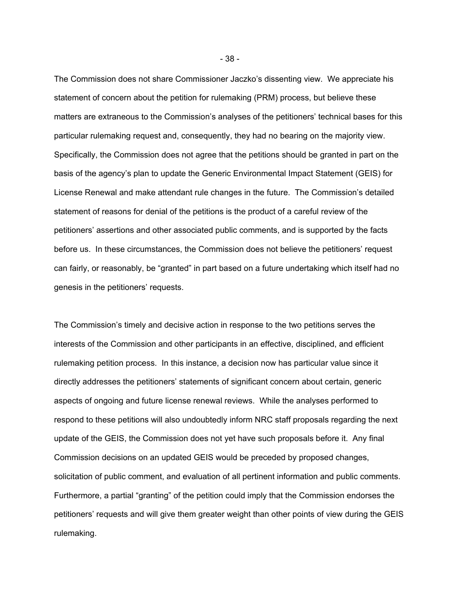The Commission does not share Commissioner Jaczko's dissenting view. We appreciate his statement of concern about the petition for rulemaking (PRM) process, but believe these matters are extraneous to the Commission's analyses of the petitioners' technical bases for this particular rulemaking request and, consequently, they had no bearing on the majority view. Specifically, the Commission does not agree that the petitions should be granted in part on the basis of the agency's plan to update the Generic Environmental Impact Statement (GEIS) for License Renewal and make attendant rule changes in the future. The Commission's detailed statement of reasons for denial of the petitions is the product of a careful review of the petitioners' assertions and other associated public comments, and is supported by the facts before us. In these circumstances, the Commission does not believe the petitioners' request can fairly, or reasonably, be "granted" in part based on a future undertaking which itself had no genesis in the petitioners' requests.

The Commission's timely and decisive action in response to the two petitions serves the interests of the Commission and other participants in an effective, disciplined, and efficient rulemaking petition process. In this instance, a decision now has particular value since it directly addresses the petitioners' statements of significant concern about certain, generic aspects of ongoing and future license renewal reviews. While the analyses performed to respond to these petitions will also undoubtedly inform NRC staff proposals regarding the next update of the GEIS, the Commission does not yet have such proposals before it. Any final Commission decisions on an updated GEIS would be preceded by proposed changes, solicitation of public comment, and evaluation of all pertinent information and public comments. Furthermore, a partial "granting" of the petition could imply that the Commission endorses the petitioners' requests and will give them greater weight than other points of view during the GEIS rulemaking.

- 38 -